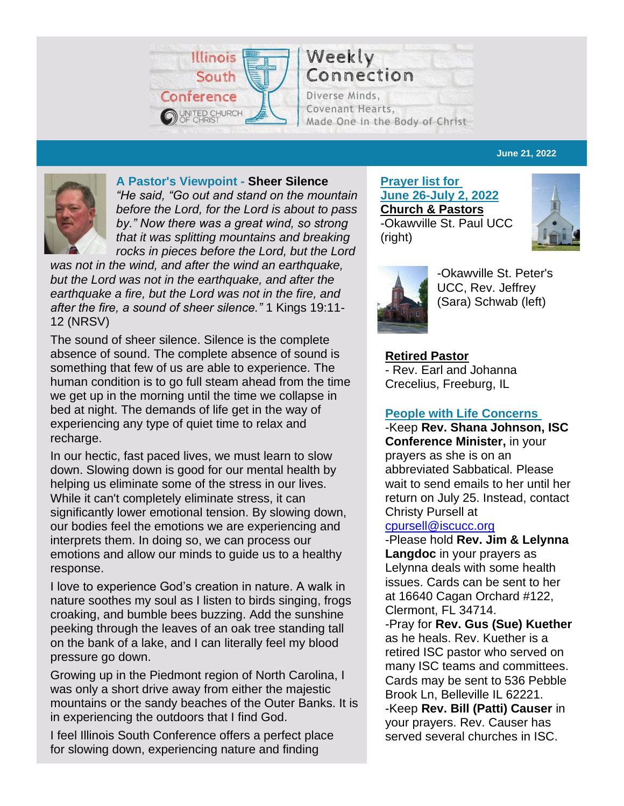

Connection Diverse Minds. Covenant Hearts, Made One in the Body of Christ

#### **June 21, 2022**



#### **A Pastor's Viewpoint - Sheer Silence**

*"He said, "Go out and stand on the mountain before the Lord, for the Lord is about to pass by." Now there was a great wind, so strong that it was splitting mountains and breaking rocks in pieces before the Lord, but the Lord* 

*was not in the wind, and after the wind an earthquake, but the Lord was not in the earthquake, and after the earthquake a fire, but the Lord was not in the fire, and after the fire, a sound of sheer silence."* 1 Kings 19:11- 12 (NRSV)

The sound of sheer silence. Silence is the complete absence of sound. The complete absence of sound is something that few of us are able to experience. The human condition is to go full steam ahead from the time we get up in the morning until the time we collapse in bed at night. The demands of life get in the way of experiencing any type of quiet time to relax and recharge.

In our hectic, fast paced lives, we must learn to slow down. Slowing down is good for our mental health by helping us eliminate some of the stress in our lives. While it can't completely eliminate stress, it can significantly lower emotional tension. By slowing down, our bodies feel the emotions we are experiencing and interprets them. In doing so, we can process our emotions and allow our minds to guide us to a healthy response.

I love to experience God's creation in nature. A walk in nature soothes my soul as I listen to birds singing, frogs croaking, and bumble bees buzzing. Add the sunshine peeking through the leaves of an oak tree standing tall on the bank of a lake, and I can literally feel my blood pressure go down.

Growing up in the Piedmont region of North Carolina, I was only a short drive away from either the majestic mountains or the sandy beaches of the Outer Banks. It is in experiencing the outdoors that I find God.

I feel Illinois South Conference offers a perfect place for slowing down, experiencing nature and finding

**Prayer list for June 26-July 2, 2022 Church & Pastors** -Okawville St. Paul UCC (right)





-Okawville St. Peter's UCC, Rev. Jeffrey (Sara) Schwab (left)

**Retired Pastor** - Rev. Earl and Johanna Crecelius, Freeburg, IL

#### **People with Life Concerns**

-Keep **Rev. Shana Johnson, ISC Conference Minister,** in your prayers as she is on an abbreviated Sabbatical. Please wait to send emails to her until her return on July 25. Instead, contact Christy Pursell at

#### [cpursell@iscucc.org](mailto:cpursell@iscucc.org)

-Please hold **Rev. Jim & Lelynna Langdoc** in your prayers as Lelynna deals with some health issues. Cards can be sent to her at 16640 Cagan Orchard #122, Clermont, FL 34714. -Pray for **Rev. Gus (Sue) Kuether** as he heals. Rev. Kuether is a retired ISC pastor who served on many ISC teams and committees. Cards may be sent to 536 Pebble Brook Ln, Belleville IL 62221. -Keep **Rev. Bill (Patti) Causer** in your prayers. Rev. Causer has served several churches in ISC.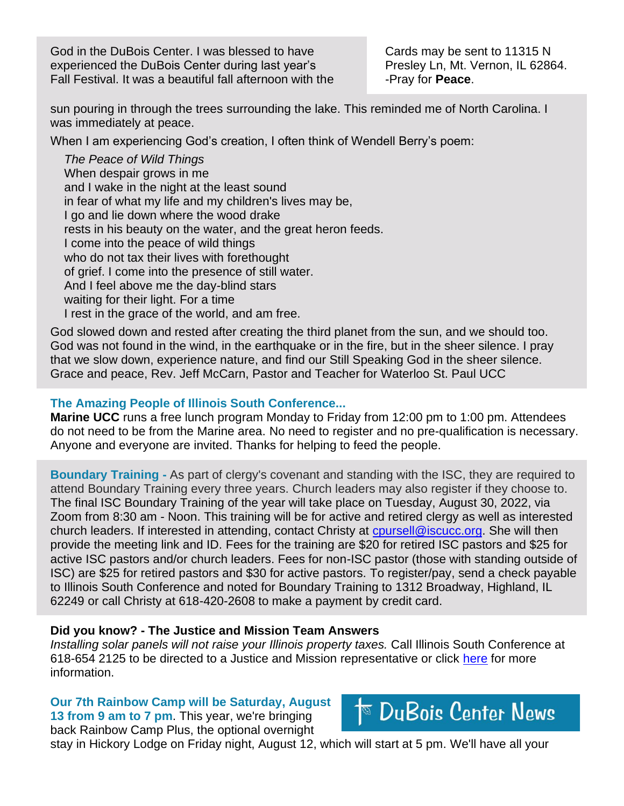God in the DuBois Center. I was blessed to have experienced the DuBois Center during last year's Fall Festival. It was a beautiful fall afternoon with the Cards may be sent to 11315 N Presley Ln, Mt. Vernon, IL 62864. -Pray for **Peace**.

sun pouring in through the trees surrounding the lake. This reminded me of North Carolina. I was immediately at peace.

When I am experiencing God's creation, I often think of Wendell Berry's poem:

*The Peace of Wild Things*  When despair grows in me and I wake in the night at the least sound in fear of what my life and my children's lives may be, I go and lie down where the wood drake rests in his beauty on the water, and the great heron feeds. I come into the peace of wild things who do not tax their lives with forethought of grief. I come into the presence of still water. And I feel above me the day-blind stars waiting for their light. For a time I rest in the grace of the world, and am free.

God slowed down and rested after creating the third planet from the sun, and we should too. God was not found in the wind, in the earthquake or in the fire, but in the sheer silence. I pray that we slow down, experience nature, and find our Still Speaking God in the sheer silence. Grace and peace, Rev. Jeff McCarn, Pastor and Teacher for Waterloo St. Paul UCC

#### **The Amazing People of Illinois South Conference...**

**Marine UCC** runs a free lunch program Monday to Friday from 12:00 pm to 1:00 pm. Attendees do not need to be from the Marine area. No need to register and no pre-qualification is necessary. Anyone and everyone are invited. Thanks for helping to feed the people.

**Boundary Training -** As part of clergy's covenant and standing with the ISC, they are required to attend Boundary Training every three years. Church leaders may also register if they choose to. The final ISC Boundary Training of the year will take place on Tuesday, August 30, 2022, via Zoom from 8:30 am - Noon. This training will be for active and retired clergy as well as interested church leaders. If interested in attending, contact Christy at coursell@iscucc.org. She will then provide the meeting link and ID. Fees for the training are \$20 for retired ISC pastors and \$25 for active ISC pastors and/or church leaders. Fees for non-ISC pastor (those with standing outside of ISC) are \$25 for retired pastors and \$30 for active pastors. To register/pay, send a check payable to Illinois South Conference and noted for Boundary Training to 1312 Broadway, Highland, IL 62249 or call Christy at 618-420-2608 to make a payment by credit card.

#### **Did you know? - The Justice and Mission Team Answers**

*Installing solar panels will not raise your Illinois property taxes.* Call Illinois South Conference at 618-654 2125 to be directed to a Justice and Mission representative or click [here](https://www.ecowatch.com/solar/incentives/il#:~:text=Illinois%20offers%20a%20property%20tax,on%20a%20value%20of%20%24250%2C000.) for more information.

**Our 7th Rainbow Camp will be Saturday, August 13 from 9 am to 7 pm**. This year, we're bringing back Rainbow Camp Plus, the optional overnight

 $\overline{\mathbb{P}}$  DuBois Center News

stay in Hickory Lodge on Friday night, August 12, which will start at 5 pm. We'll have all your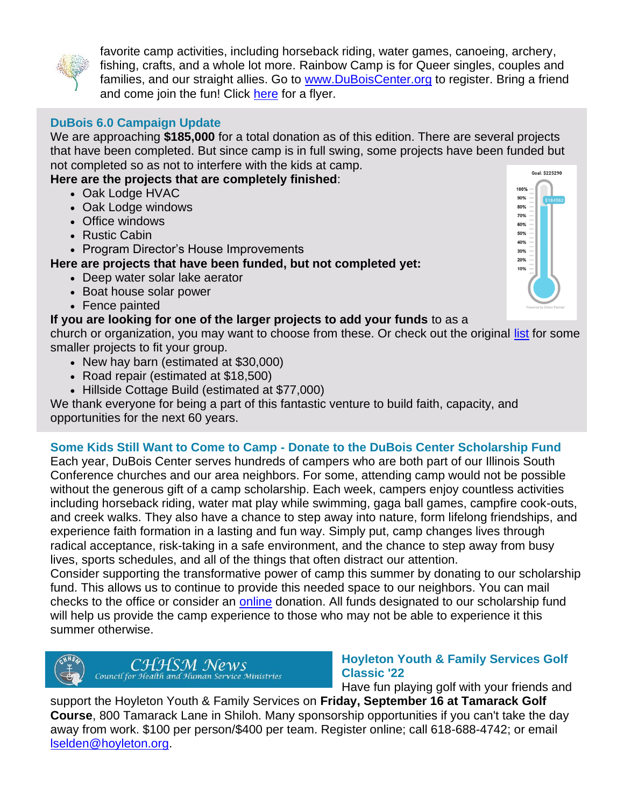

favorite camp activities, including horseback riding, water games, canoeing, archery, fishing, crafts, and a whole lot more. Rainbow Camp is for Queer singles, couples and families, and our straight allies. Go to [www.DuBoisCenter.org](http://www.duboiscenter.org/) to register. Bring a friend and come join the fun! Click [here](https://files.constantcontact.com/3ac71630101/07a7df3a-38c8-4af2-9510-d5a9f0e9027d.pdf?rdr=true) for a flyer.

# **DuBois 6.0 Campaign Update**

We are approaching **\$185,000** for a total donation as of this edition. There are several projects that have been completed. But since camp is in full swing, some projects have been funded but not completed so as not to interfere with the kids at camp.

## **Here are the projects that are completely finished**:

- Oak Lodge HVAC
- Oak Lodge windows
- Office windows
- Rustic Cabin
- Program Director's House Improvements

## **Here are projects that have been funded, but not completed yet:**

- Deep water solar lake aerator
- Boat house solar power
- Fence painted

## **If you are looking for one of the larger projects to add your funds** to as a

church or organization, you may want to choose from these. Or check out the original [list](https://iscucc.org/wp-content/uploads/2021/11/DuBois-6.0-Summary-Sheet-AM-2021-Final.pdf) for some smaller projects to fit your group.

- New hay barn (estimated at \$30,000)
- Road repair (estimated at \$18,500)
- Hillside Cottage Build (estimated at \$77,000)

We thank everyone for being a part of this fantastic venture to build faith, capacity, and opportunities for the next 60 years.

## **Some Kids Still Want to Come to Camp - Donate to the DuBois Center Scholarship Fund**

Each year, DuBois Center serves hundreds of campers who are both part of our Illinois South Conference churches and our area neighbors. For some, attending camp would not be possible without the generous gift of a camp scholarship. Each week, campers enjoy countless activities including horseback riding, water mat play while swimming, gaga ball games, campfire cook-outs, and creek walks. They also have a chance to step away into nature, form lifelong friendships, and experience faith formation in a lasting and fun way. Simply put, camp changes lives through radical acceptance, risk-taking in a safe environment, and the chance to step away from busy lives, sports schedules, and all of the things that often distract our attention.

Consider supporting the transformative power of camp this summer by donating to our scholarship fund. This allows us to continue to provide this needed space to our neighbors. You can mail checks to the office or consider an [online](https://www.paypal.com/donate/?hosted_button_id=CG7CX3MFDTTDN) donation. All funds designated to our scholarship fund will help us provide the camp experience to those who may not be able to experience it this summer otherwise.



CHHSM NeWS<br>Council for Health and Human Service Ministries

## **Hoyleton Youth & Family Services Golf Classic '22**

Have fun playing golf with your friends and

support the Hoyleton Youth & Family Services on **Friday, September 16 at Tamarack Golf Course**, 800 Tamarack Lane in Shiloh. Many sponsorship opportunities if you can't take the day away from work. \$100 per person/\$400 per team. Register online; call 618-688-4742; or email [lselden@hoyleton.org.](mailto:lselden@hoyleton.org)

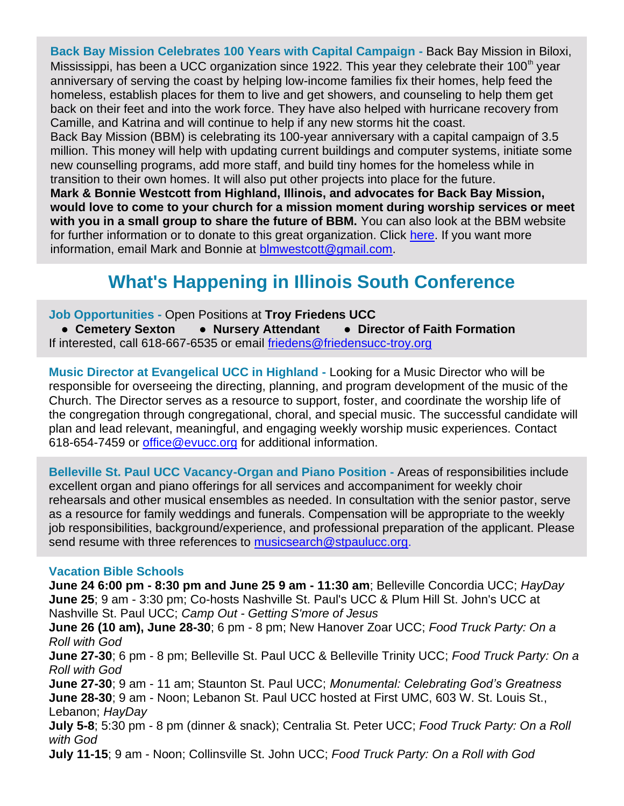**Back Bay Mission Celebrates 100 Years with Capital Campaign -** Back Bay Mission in Biloxi, Mississippi, has been a UCC organization since 1922. This year they celebrate their 100<sup>th</sup> year anniversary of serving the coast by helping low-income families fix their homes, help feed the homeless, establish places for them to live and get showers, and counseling to help them get back on their feet and into the work force. They have also helped with hurricane recovery from Camille, and Katrina and will continue to help if any new storms hit the coast.

Back Bay Mission (BBM) is celebrating its 100-year anniversary with a capital campaign of 3.5 million. This money will help with updating current buildings and computer systems, initiate some new counselling programs, add more staff, and build tiny homes for the homeless while in transition to their own homes. It will also put other projects into place for the future.

**Mark & Bonnie Westcott from Highland, Illinois, and advocates for Back Bay Mission, would love to come to your church for a mission moment during worship services or meet with you in a small group to share the future of BBM.** You can also look at the BBM website for further information or to donate to this great organization. Click [here.](https://thebackbaymission.org/goodtrouble/) If you want more information, email Mark and Bonnie at [blmwestcott@gmail.com.](mailto:blmwestcott@gmail.com)

# **What's Happening in Illinois South Conference**

**Job Opportunities -** Open Positions at **Troy Friedens UCC**

**● Cemetery Sexton ● Nursery Attendant ● Director of Faith Formation** If interested, call 618-667-6535 or email [friedens@friedensucc-troy.org](mailto:friedens@friedensucc-troy.org)

**Music Director at Evangelical UCC in Highland -** Looking for a Music Director who will be responsible for overseeing the directing, planning, and program development of the music of the Church. The Director serves as a resource to support, foster, and coordinate the worship life of the congregation through congregational, choral, and special music. The successful candidate will plan and lead relevant, meaningful, and engaging weekly worship music experiences. Contact 618-654-7459 or [office@evucc.org](mailto:office@evucc.org) for additional information.

**Belleville St. Paul UCC Vacancy-Organ and Piano Position -** Areas of responsibilities include excellent organ and piano offerings for all services and accompaniment for weekly choir rehearsals and other musical ensembles as needed. In consultation with the senior pastor, serve as a resource for family weddings and funerals. Compensation will be appropriate to the weekly job responsibilities, background/experience, and professional preparation of the applicant. Please send resume with three references to [musicsearch@stpaulucc.org.](mailto:musicsearch@stpaulucc.org)

## **Vacation Bible Schools**

**June 24 6:00 pm - 8:30 pm and June 25 9 am - 11:30 am**; Belleville Concordia UCC; *HayDay* **June 25**; 9 am - 3:30 pm; Co-hosts Nashville St. Paul's UCC & Plum Hill St. John's UCC at Nashville St. Paul UCC; *Camp Out - Getting S'more of Jesus*

**June 26 (10 am), June 28-30**; 6 pm - 8 pm; New Hanover Zoar UCC; *Food Truck Party: On a Roll with God*

**June 27-30**; 6 pm - 8 pm; Belleville St. Paul UCC & Belleville Trinity UCC; *Food Truck Party: On a Roll with God*

**June 27-30**; 9 am - 11 am; Staunton St. Paul UCC; *Monumental: Celebrating God's Greatness* **June 28-30**; 9 am - Noon; Lebanon St. Paul UCC hosted at First UMC, 603 W. St. Louis St., Lebanon; *HayDay*

**July 5-8**; 5:30 pm - 8 pm (dinner & snack); Centralia St. Peter UCC; *Food Truck Party: On a Roll with God*

**July 11-15**; 9 am - Noon; Collinsville St. John UCC; *Food Truck Party: On a Roll with God*